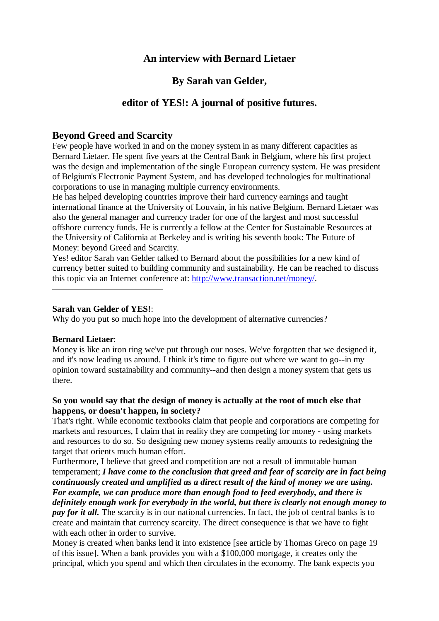# **An interview with Bernard Lietaer**

# **By Sarah van Gelder,**

# **editor of YES!: A journal of positive futures.**

# **Beyond Greed and Scarcity**

Few people have worked in and on the money system in as many different capacities as Bernard Lietaer. He spent five years at the Central Bank in Belgium, where his first project was the design and implementation of the single European currency system. He was president of Belgium's Electronic Payment System, and has developed technologies for multinational corporations to use in managing multiple currency environments.

He has helped developing countries improve their hard currency earnings and taught international finance at the University of Louvain, in his native Belgium. Bernard Lietaer was also the general manager and currency trader for one of the largest and most successful offshore currency funds. He is currently a fellow at the Center for Sustainable Resources at the University of California at Berkeley and is writing his seventh book: The Future of Money: beyond Greed and Scarcity.

Yes! editor Sarah van Gelder talked to Bernard about the possibilities for a new kind of currency better suited to building community and sustainability. He can be reached to discuss this topic via an Internet conference at: http://www.transaction.net/money/.

#### **Sarah van Gelder of YES!**:

Why do you put so much hope into the development of alternative currencies?

#### **Bernard Lietaer**:

Money is like an iron ring we've put through our noses. We've forgotten that we designed it, and it's now leading us around. I think it's time to figure out where we want to go--in my opinion toward sustainability and community--and then design a money system that gets us there.

#### **So you would say that the design of money is actually at the root of much else that happens, or doesn't happen, in society?**

That's right. While economic textbooks claim that people and corporations are competing for markets and resources, I claim that in reality they are competing for money - using markets and resources to do so. So designing new money systems really amounts to redesigning the target that orients much human effort.

Furthermore, I believe that greed and competition are not a result of immutable human temperament; *I have come to the conclusion that greed and fear of scarcity are in fact being continuously created and amplified as a direct result of the kind of money we are using. For example, we can produce more than enough food to feed everybody, and there is definitely enough work for everybody in the world, but there is clearly not enough money to pay for it all.* The scarcity is in our national currencies. In fact, the job of central banks is to create and maintain that currency scarcity. The direct consequence is that we have to fight with each other in order to survive.

Money is created when banks lend it into existence [see article by Thomas Greco on page 19 of this issue]. When a bank provides you with a \$100,000 mortgage, it creates only the principal, which you spend and which then circulates in the economy. The bank expects you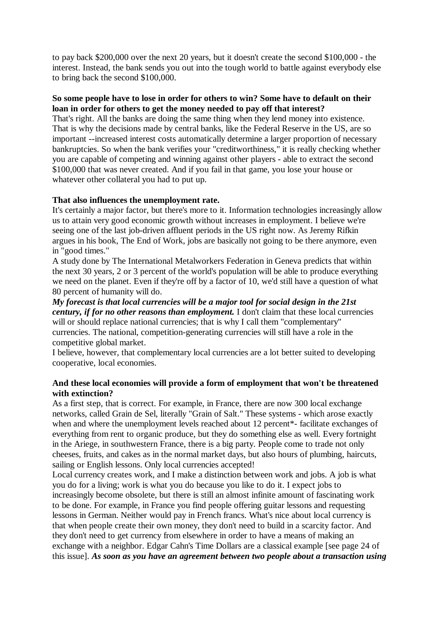to pay back \$200,000 over the next 20 years, but it doesn't create the second \$100,000 - the interest. Instead, the bank sends you out into the tough world to battle against everybody else to bring back the second \$100,000.

### **So some people have to lose in order for others to win? Some have to default on their loan in order for others to get the money needed to pay off that interest?**

That's right. All the banks are doing the same thing when they lend money into existence. That is why the decisions made by central banks, like the Federal Reserve in the US, are so important --increased interest costs automatically determine a larger proportion of necessary bankruptcies. So when the bank verifies your "creditworthiness," it is really checking whether you are capable of competing and winning against other players - able to extract the second \$100,000 that was never created. And if you fail in that game, you lose your house or whatever other collateral you had to put up.

### **That also influences the unemployment rate.**

It's certainly a major factor, but there's more to it. Information technologies increasingly allow us to attain very good economic growth without increases in employment. I believe we're seeing one of the last job-driven affluent periods in the US right now. As Jeremy Rifkin argues in his book, The End of Work, jobs are basically not going to be there anymore, even in "good times."

A study done by The International Metalworkers Federation in Geneva predicts that within the next 30 years, 2 or 3 percent of the world's population will be able to produce everything we need on the planet. Even if they're off by a factor of 10, we'd still have a question of what 80 percent of humanity will do.

*My forecast is that local currencies will be a major tool for social design in the 21st century, if for no other reasons than employment.* I don't claim that these local currencies will or should replace national currencies; that is why I call them "complementary" currencies. The national, competition-generating currencies will still have a role in the competitive global market.

I believe, however, that complementary local currencies are a lot better suited to developing cooperative, local economies.

### **And these local economies will provide a form of employment that won't be threatened with extinction?**

As a first step, that is correct. For example, in France, there are now 300 local exchange networks, called Grain de Sel, literally "Grain of Salt." These systems - which arose exactly when and where the unemployment levels reached about 12 percent<sup>\*</sup>- facilitate exchanges of everything from rent to organic produce, but they do something else as well. Every fortnight in the Ariege, in southwestern France, there is a big party. People come to trade not only cheeses, fruits, and cakes as in the normal market days, but also hours of plumbing, haircuts, sailing or English lessons. Only local currencies accepted!

Local currency creates work, and I make a distinction between work and jobs. A job is what you do for a living; work is what you do because you like to do it. I expect jobs to increasingly become obsolete, but there is still an almost infinite amount of fascinating work to be done. For example, in France you find people offering guitar lessons and requesting lessons in German. Neither would pay in French francs. What's nice about local currency is that when people create their own money, they don't need to build in a scarcity factor. And they don't need to get currency from elsewhere in order to have a means of making an exchange with a neighbor. Edgar Cahn's Time Dollars are a classical example [see page 24 of this issue]. *As soon as you have an agreement between two people about a transaction using*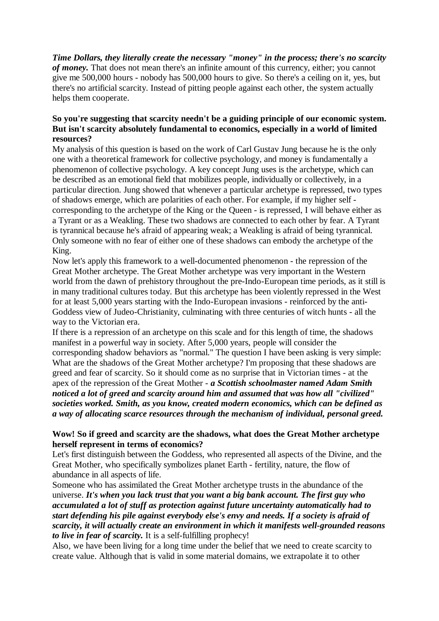*Time Dollars, they literally create the necessary "money" in the process; there's no scarcity of money.* That does not mean there's an infinite amount of this currency, either; you cannot give me 500,000 hours - nobody has 500,000 hours to give. So there's a ceiling on it, yes, but there's no artificial scarcity. Instead of pitting people against each other, the system actually helps them cooperate.

#### **So you're suggesting that scarcity needn't be a guiding principle of our economic system. But isn't scarcity absolutely fundamental to economics, especially in a world of limited resources?**

My analysis of this question is based on the work of Carl Gustav Jung because he is the only one with a theoretical framework for collective psychology, and money is fundamentally a phenomenon of collective psychology. A key concept Jung uses is the archetype, which can be described as an emotional field that mobilizes people, individually or collectively, in a particular direction. Jung showed that whenever a particular archetype is repressed, two types of shadows emerge, which are polarities of each other. For example, if my higher self corresponding to the archetype of the King or the Queen - is repressed, I will behave either as a Tyrant or as a Weakling. These two shadows are connected to each other by fear. A Tyrant is tyrannical because he's afraid of appearing weak; a Weakling is afraid of being tyrannical. Only someone with no fear of either one of these shadows can embody the archetype of the King.

Now let's apply this framework to a well-documented phenomenon - the repression of the Great Mother archetype. The Great Mother archetype was very important in the Western world from the dawn of prehistory throughout the pre-Indo-European time periods, as it still is in many traditional cultures today. But this archetype has been violently repressed in the West for at least 5,000 years starting with the Indo-European invasions - reinforced by the anti-Goddess view of Judeo-Christianity, culminating with three centuries of witch hunts - all the way to the Victorian era.

If there is a repression of an archetype on this scale and for this length of time, the shadows manifest in a powerful way in society. After 5,000 years, people will consider the corresponding shadow behaviors as "normal." The question I have been asking is very simple: What are the shadows of the Great Mother archetype? I'm proposing that these shadows are greed and fear of scarcity. So it should come as no surprise that in Victorian times - at the apex of the repression of the Great Mother - *a Scottish schoolmaster named Adam Smith noticed a lot of greed and scarcity around him and assumed that was how all "civilized" societies worked. Smith, as you know, created modern economics, which can be defined as a way of allocating scarce resources through the mechanism of individual, personal greed.*

### **Wow! So if greed and scarcity are the shadows, what does the Great Mother archetype herself represent in terms of economics?**

Let's first distinguish between the Goddess, who represented all aspects of the Divine, and the Great Mother, who specifically symbolizes planet Earth - fertility, nature, the flow of abundance in all aspects of life.

Someone who has assimilated the Great Mother archetype trusts in the abundance of the universe. *It's when you lack trust that you want a big bank account. The first guy who accumulated a lot of stuff as protection against future uncertainty automatically had to start defending his pile against everybody else's envy and needs. If a society is afraid of scarcity, it will actually create an environment in which it manifests well-grounded reasons to live in fear of scarcity.* It is a self-fulfilling prophecy!

Also, we have been living for a long time under the belief that we need to create scarcity to create value. Although that is valid in some material domains, we extrapolate it to other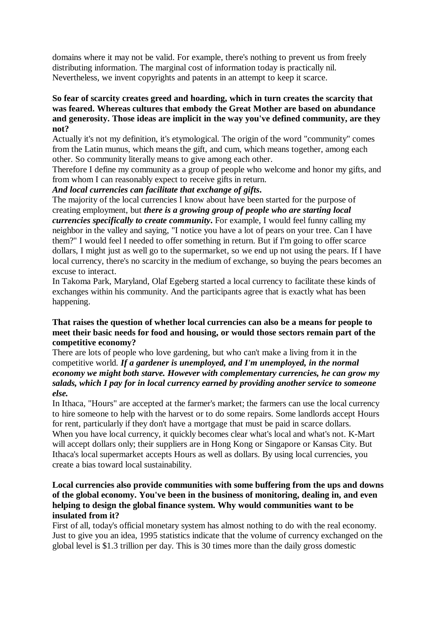domains where it may not be valid. For example, there's nothing to prevent us from freely distributing information. The marginal cost of information today is practically nil. Nevertheless, we invent copyrights and patents in an attempt to keep it scarce.

#### **So fear of scarcity creates greed and hoarding, which in turn creates the scarcity that was feared. Whereas cultures that embody the Great Mother are based on abundance and generosity. Those ideas are implicit in the way you've defined community, are they not?**

Actually it's not my definition, it's etymological. The origin of the word "community" comes from the Latin munus, which means the gift, and cum, which means together, among each other. So community literally means to give among each other.

Therefore I define my community as a group of people who welcome and honor my gifts, and from whom I can reasonably expect to receive gifts in return.

### *And local currencies can facilitate that exchange of gifts***.**

The majority of the local currencies I know about have been started for the purpose of creating employment, but *there is a growing group of people who are starting local currencies specifically to create community***.** For example, I would feel funny calling my neighbor in the valley and saying, "I notice you have a lot of pears on your tree. Can I have them?" I would feel I needed to offer something in return. But if I'm going to offer scarce dollars, I might just as well go to the supermarket, so we end up not using the pears. If I have local currency, there's no scarcity in the medium of exchange, so buying the pears becomes an excuse to interact.

In Takoma Park, Maryland, Olaf Egeberg started a local currency to facilitate these kinds of exchanges within his community. And the participants agree that is exactly what has been happening.

### **That raises the question of whether local currencies can also be a means for people to meet their basic needs for food and housing, or would those sectors remain part of the competitive economy?**

There are lots of people who love gardening, but who can't make a living from it in the competitive world*. If a gardener is unemployed, and I'm unemployed, in the normal economy we might both starve. However with complementary currencies, he can grow my salads, which I pay for in local currency earned by providing another service to someone else.*

In Ithaca, "Hours" are accepted at the farmer's market; the farmers can use the local currency to hire someone to help with the harvest or to do some repairs. Some landlords accept Hours for rent, particularly if they don't have a mortgage that must be paid in scarce dollars. When you have local currency, it quickly becomes clear what's local and what's not. K-Mart will accept dollars only; their suppliers are in Hong Kong or Singapore or Kansas City. But Ithaca's local supermarket accepts Hours as well as dollars. By using local currencies, you create a bias toward local sustainability.

### **Local currencies also provide communities with some buffering from the ups and downs of the global economy. You've been in the business of monitoring, dealing in, and even helping to design the global finance system. Why would communities want to be insulated from it?**

First of all, today's official monetary system has almost nothing to do with the real economy. Just to give you an idea, 1995 statistics indicate that the volume of currency exchanged on the global level is \$1.3 trillion per day. This is 30 times more than the daily gross domestic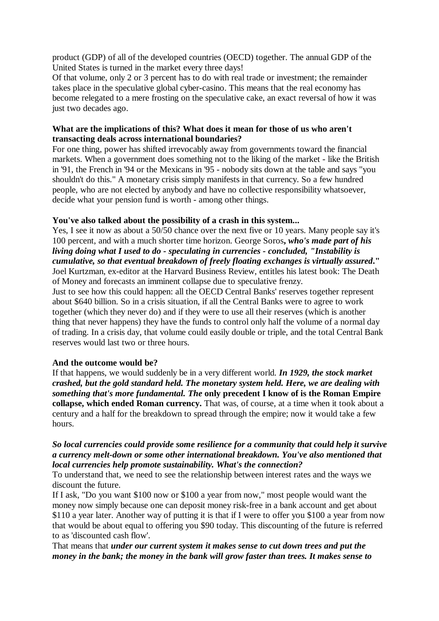product (GDP) of all of the developed countries (OECD) together. The annual GDP of the United States is turned in the market every three days!

Of that volume, only 2 or 3 percent has to do with real trade or investment; the remainder takes place in the speculative global cyber-casino. This means that the real economy has become relegated to a mere frosting on the speculative cake, an exact reversal of how it was just two decades ago.

# **What are the implications of this? What does it mean for those of us who aren't transacting deals across international boundaries?**

For one thing, power has shifted irrevocably away from governments toward the financial markets. When a government does something not to the liking of the market - like the British in '91, the French in '94 or the Mexicans in '95 - nobody sits down at the table and says "you shouldn't do this." A monetary crisis simply manifests in that currency. So a few hundred people, who are not elected by anybody and have no collective responsibility whatsoever, decide what your pension fund is worth - among other things.

### **You've also talked about the possibility of a crash in this system...**

Yes, I see it now as about a 50/50 chance over the next five or 10 years. Many people say it's 100 percent, and with a much shorter time horizon. George Soros**,** *who's made part of his living doing what I used to do - speculating in currencies - concluded, "Instability is cumulative, so that eventual breakdown of freely floating exchanges is virtually assured***."** Joel Kurtzman, ex-editor at the Harvard Business Review, entitles his latest book: The Death of Money and forecasts an imminent collapse due to speculative frenzy.

Just to see how this could happen: all the OECD Central Banks' reserves together represent about \$640 billion. So in a crisis situation, if all the Central Banks were to agree to work together (which they never do) and if they were to use all their reserves (which is another thing that never happens) they have the funds to control only half the volume of a normal day of trading. In a crisis day, that volume could easily double or triple, and the total Central Bank reserves would last two or three hours.

# **And the outcome would be?**

If that happens, we would suddenly be in a very different world*. In 1929, the stock market crashed, but the gold standard held. The monetary system held. Here, we are dealing with something that's more fundamental. The* **only precedent I know of is the Roman Empire collapse, which ended Roman currency.** That was, of course, at a time when it took about a century and a half for the breakdown to spread through the empire; now it would take a few hours.

### *So local currencies could provide some resilience for a community that could help it survive a currency melt-down or some other international breakdown. You've also mentioned that local currencies help promote sustainability. What's the connection?*

To understand that, we need to see the relationship between interest rates and the ways we discount the future.

If I ask, "Do you want \$100 now or \$100 a year from now," most people would want the money now simply because one can deposit money risk-free in a bank account and get about \$110 a year later. Another way of putting it is that if I were to offer you \$100 a year from now that would be about equal to offering you \$90 today. This discounting of the future is referred to as 'discounted cash flow'.

That means that *under our current system it makes sense to cut down trees and put the money in the bank; the money in the bank will grow faster than trees. It makes sense to*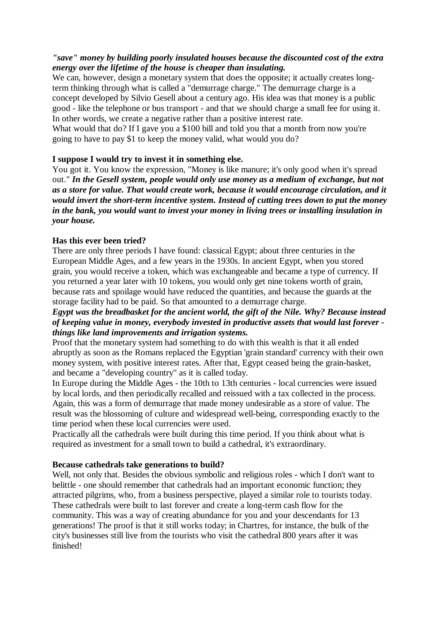# *"save" money by building poorly insulated houses because the discounted cost of the extra energy over the lifetime of the house is cheaper than insulating.*

We can, however, design a monetary system that does the opposite; it actually creates longterm thinking through what is called a "demurrage charge." The demurrage charge is a concept developed by Silvio Gesell about a century ago. His idea was that money is a public good - like the telephone or bus transport - and that we should charge a small fee for using it. In other words, we create a negative rather than a positive interest rate.

What would that do? If I gave you a \$100 bill and told you that a month from now you're going to have to pay \$1 to keep the money valid, what would you do?

# **I suppose I would try to invest it in something else.**

You got it. You know the expression, "Money is like manure; it's only good when it's spread out." *In the Gesell system, people would only use money as a medium of exchange, but not as a store for value. That would create work, because it would encourage circulation, and it would invert the short-term incentive system. Instead of cutting trees down to put the money in the bank, you would want to invest your money in living trees or installing insulation in your house.*

# **Has this ever been tried?**

There are only three periods I have found: classical Egypt; about three centuries in the European Middle Ages, and a few years in the 1930s. In ancient Egypt, when you stored grain, you would receive a token, which was exchangeable and became a type of currency. If you returned a year later with 10 tokens, you would only get nine tokens worth of grain, because rats and spoilage would have reduced the quantities, and because the guards at the storage facility had to be paid. So that amounted to a demurrage charge.

# *Egypt was the breadbasket for the ancient world, the gift of the Nile. Why? Because instead of keeping value in money, everybody invested in productive assets that would last forever things like land improvements and irrigation systems.*

Proof that the monetary system had something to do with this wealth is that it all ended abruptly as soon as the Romans replaced the Egyptian 'grain standard' currency with their own money system, with positive interest rates. After that, Egypt ceased being the grain-basket, and became a "developing country" as it is called today.

In Europe during the Middle Ages - the 10th to 13th centuries - local currencies were issued by local lords, and then periodically recalled and reissued with a tax collected in the process. Again, this was a form of demurrage that made money undesirable as a store of value. The result was the blossoming of culture and widespread well-being, corresponding exactly to the time period when these local currencies were used.

Practically all the cathedrals were built during this time period. If you think about what is required as investment for a small town to build a cathedral, it's extraordinary.

# **Because cathedrals take generations to build?**

Well, not only that. Besides the obvious symbolic and religious roles - which I don't want to belittle - one should remember that cathedrals had an important economic function; they attracted pilgrims, who, from a business perspective, played a similar role to tourists today. These cathedrals were built to last forever and create a long-term cash flow for the community. This was a way of creating abundance for you and your descendants for 13 generations! The proof is that it still works today; in Chartres, for instance, the bulk of the city's businesses still live from the tourists who visit the cathedral 800 years after it was finished!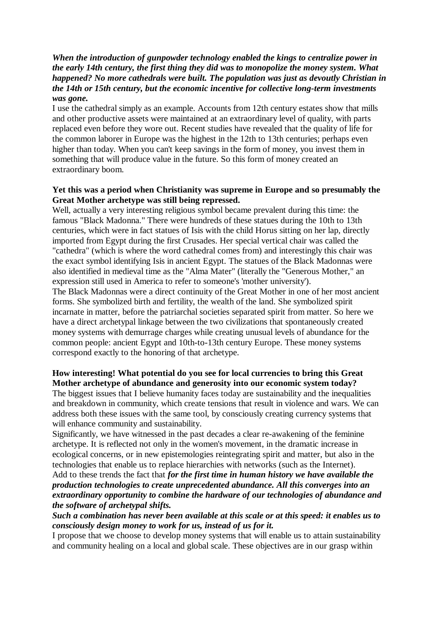### *When the introduction of gunpowder technology enabled the kings to centralize power in the early 14th century, the first thing they did was to monopolize the money system. What happened? No more cathedrals were built. The population was just as devoutly Christian in the 14th or 15th century, but the economic incentive for collective long-term investments was gone.*

I use the cathedral simply as an example. Accounts from 12th century estates show that mills and other productive assets were maintained at an extraordinary level of quality, with parts replaced even before they wore out. Recent studies have revealed that the quality of life for the common laborer in Europe was the highest in the 12th to 13th centuries; perhaps even higher than today. When you can't keep savings in the form of money, you invest them in something that will produce value in the future. So this form of money created an extraordinary boom.

### **Yet this was a period when Christianity was supreme in Europe and so presumably the Great Mother archetype was still being repressed.**

Well, actually a very interesting religious symbol became prevalent during this time: the famous "Black Madonna." There were hundreds of these statues during the 10th to 13th centuries, which were in fact statues of Isis with the child Horus sitting on her lap, directly imported from Egypt during the first Crusades. Her special vertical chair was called the "cathedra" (which is where the word cathedral comes from) and interestingly this chair was the exact symbol identifying Isis in ancient Egypt. The statues of the Black Madonnas were also identified in medieval time as the "Alma Mater" (literally the "Generous Mother," an expression still used in America to refer to someone's 'mother university').

The Black Madonnas were a direct continuity of the Great Mother in one of her most ancient forms. She symbolized birth and fertility, the wealth of the land. She symbolized spirit incarnate in matter, before the patriarchal societies separated spirit from matter. So here we have a direct archetypal linkage between the two civilizations that spontaneously created money systems with demurrage charges while creating unusual levels of abundance for the common people: ancient Egypt and 10th-to-13th century Europe. These money systems correspond exactly to the honoring of that archetype.

# **How interesting! What potential do you see for local currencies to bring this Great Mother archetype of abundance and generosity into our economic system today?**

The biggest issues that I believe humanity faces today are sustainability and the inequalities and breakdown in community, which create tensions that result in violence and wars. We can address both these issues with the same tool, by consciously creating currency systems that will enhance community and sustainability.

Significantly, we have witnessed in the past decades a clear re-awakening of the feminine archetype. It is reflected not only in the women's movement, in the dramatic increase in ecological concerns, or in new epistemologies reintegrating spirit and matter, but also in the technologies that enable us to replace hierarchies with networks (such as the Internet). Add to these trends the fact that *for the first time in human history we have available the production technologies to create unprecedented abundance. All this converges into an extraordinary opportunity to combine the hardware of our technologies of abundance and the software of archetypal shifts.* 

*Such a combination has never been available at this scale or at this speed: it enables us to consciously design money to work for us, instead of us for it.*

I propose that we choose to develop money systems that will enable us to attain sustainability and community healing on a local and global scale. These objectives are in our grasp within